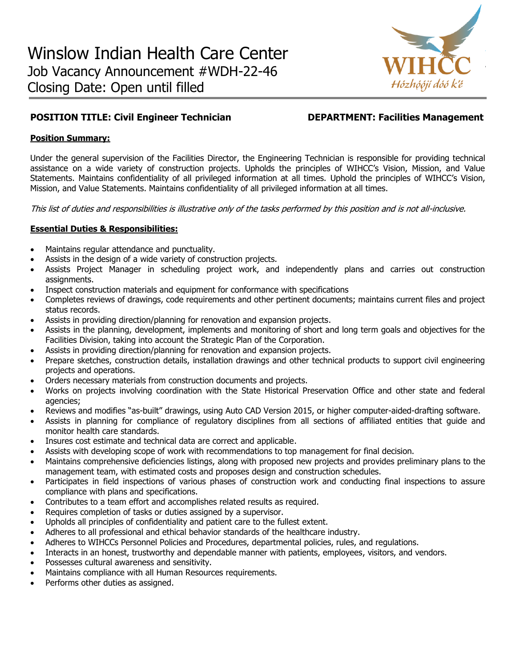

# **POSITION TITLE: Civil Engineer Technician DEPARTMENT: Facilities Management**

## **Position Summary:**

Under the general supervision of the Facilities Director, the Engineering Technician is responsible for providing technical assistance on a wide variety of construction projects. Upholds the principles of WIHCC's Vision, Mission, and Value Statements. Maintains confidentiality of all privileged information at all times. Uphold the principles of WIHCC's Vision, Mission, and Value Statements. Maintains confidentiality of all privileged information at all times.

This list of duties and responsibilities is illustrative only of the tasks performed by this position and is not all-inclusive.

# **Essential Duties & Responsibilities:**

- Maintains regular attendance and punctuality.
- Assists in the design of a wide variety of construction projects.
- Assists Project Manager in scheduling project work, and independently plans and carries out construction assignments.
- Inspect construction materials and equipment for conformance with specifications
- Completes reviews of drawings, code requirements and other pertinent documents; maintains current files and project status records.
- Assists in providing direction/planning for renovation and expansion projects.
- Assists in the planning, development, implements and monitoring of short and long term goals and objectives for the Facilities Division, taking into account the Strategic Plan of the Corporation.
- Assists in providing direction/planning for renovation and expansion projects.
- Prepare sketches, construction details, installation drawings and other technical products to support civil engineering projects and operations.
- Orders necessary materials from construction documents and projects.
- Works on projects involving coordination with the State Historical Preservation Office and other state and federal agencies;
- Reviews and modifies "as-built" drawings, using Auto CAD Version 2015, or higher computer-aided-drafting software.
- Assists in planning for compliance of regulatory disciplines from all sections of affiliated entities that guide and monitor health care standards.
- Insures cost estimate and technical data are correct and applicable.
- Assists with developing scope of work with recommendations to top management for final decision.
- Maintains comprehensive deficiencies listings, along with proposed new projects and provides preliminary plans to the management team, with estimated costs and proposes design and construction schedules.
- Participates in field inspections of various phases of construction work and conducting final inspections to assure compliance with plans and specifications.
- Contributes to a team effort and accomplishes related results as required.
- Requires completion of tasks or duties assigned by a supervisor.
- Upholds all principles of confidentiality and patient care to the fullest extent.
- Adheres to all professional and ethical behavior standards of the healthcare industry.
- Adheres to WIHCCs Personnel Policies and Procedures, departmental policies, rules, and regulations.
- Interacts in an honest, trustworthy and dependable manner with patients, employees, visitors, and vendors.
- Possesses cultural awareness and sensitivity.
- Maintains compliance with all Human Resources requirements.
- Performs other duties as assigned.